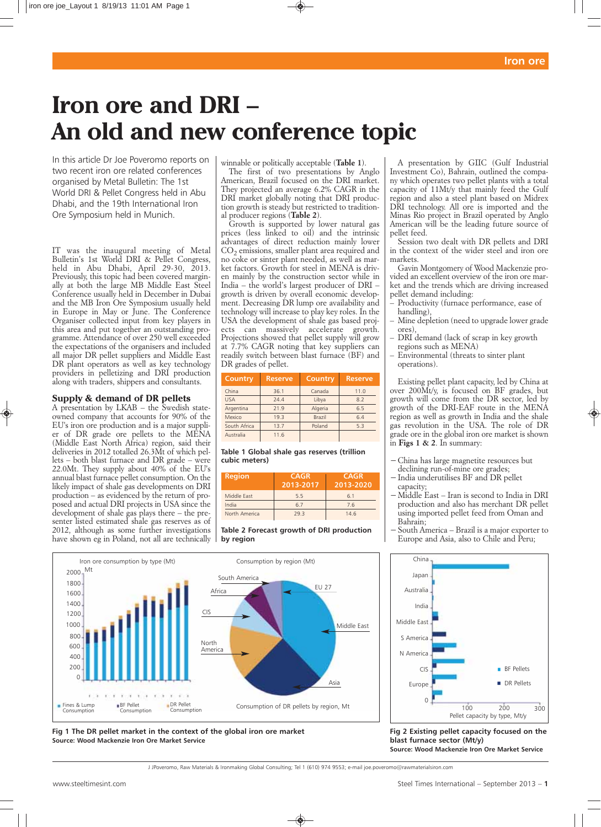# **Iron ore and DRI – An old and new conference topic**

In this article Dr Joe Poveromo reports on two recent iron ore related conferences organised by Metal Bulletin: The 1st World DRI & Pellet Congress held in Abu Dhabi, and the 19th International Iron Ore Symposium held in Munich.

*IT was the inaugural meeting of Metal Bulletin's 1st World DRI & Pellet Congress, held in Abu Dhabi, April 29-30, 2013. Previously, this topic had been covered marginally at both the large MB Middle East Steel Conference usually held in December in Dubai and the MB Iron Ore Symposium usually held in Europe in May or June. The Conference Organiser collected input from key players in this area and put together an outstanding programme. Attendance of over 250 well exceeded the expectations of the organisers and included all major DR pellet suppliers and Middle East DR plant operators as well as key technology providers in pelletizing and DRI production along with traders, shippers and consultants.* 

# **Supply & demand of DR pellets**

*A presentation by LKAB – the Swedish stateowned company that accounts for 90% of the EU's iron ore production and is a major supplier of DR grade ore pellets to the MENA (Middle East North Africa) region, said their deliveries in 2012 totalled 26.3Mt of which pellets – both blast furnace and DR grade – were 22.0Mt. They supply about 40% of the EU's annual blast furnace pellet consumption. On the likely impact of shale gas developments on DRI production – as evidenced by the return of proposed and actual DRI projects in USA since the development of shale gas plays there – the presenter listed estimated shale gas reserves as of 2012, although as some further investigations have shown eg in Poland, not all are technically*

*winnable or politically acceptable (Table 1).*

*The first of two presentations by Anglo American, Brazil focused on the DRI market. They projected an average 6.2% CAGR in the DRI market globally noting that DRI production growth is steady but restricted to traditional producer regions (Table 2).*

*Growth is supported by lower natural gas prices (less linked to oil) and the intrinsic advantages of direct reduction mainly lower CO2 emissions, smaller plant area required and no coke or sinter plant needed, as well as market factors. Growth for steel in MENA is driven mainly by the construction sector while in India – the world's largest producer of DRI – growth is driven by overall economic development. Decreasing DR lump ore availability and technology will increase to play key roles. In the USA the development of shale gas based projects can massively accelerate growth. Projections showed that pellet supply will grow at 7.7% CAGR noting that key suppliers can readily switch between blast furnace (BF) and DR grades of pellet.* 

| Country      | <b>Reserve</b> | Country       | <b>Reserve</b> |
|--------------|----------------|---------------|----------------|
| China        | 36.1           | Canada        | 11.0           |
| <b>USA</b>   | 74.4           | Libya         | 8.2            |
| Argentina    | 21.9           | Algeria       | 6.5            |
| Mexico       | 19.3           | <b>Brazil</b> | 6.4            |
| South Africa | 13.7           | Poland        | 5.3            |
| Australia    | 11.6           |               |                |

## **Table 1 Global shale gas reserves (trillion cubic meters)**

| <b>Region</b> | <b>CAGR</b><br>2013-2017 | <b>CAGR</b><br>2013-2020 |  |  |
|---------------|--------------------------|--------------------------|--|--|
| Middle Fast   | 5.5                      | 6.1                      |  |  |
| India         | 6.7                      | 7.6                      |  |  |
| North America | 793                      | 14.6                     |  |  |

**Table 2 Forecast growth of DRI production by region**

*A presentation by GIIC (Gulf Industrial Investment Co), Bahrain, outlined the company which operates two pellet plants with a total capacity of 11Mt/y that mainly feed the Gulf region and also a steel plant based on Midrex DRI technology. All ore is imported and the Minas Rio project in Brazil operated by Anglo American will be the leading future source of pellet feed.*

*Session two dealt with DR pellets and DRI in the context of the wider steel and iron ore markets.*

*Gavin Montgomery of Wood Mackenzie provided an excellent overview of the iron ore market and the trends which are driving increased pellet demand including:* 

- *Productivity (furnace performance, ease of handling),*
- *Mine depletion (need to upgrade lower grade ores),*
- *DRI demand (lack of scrap in key growth regions such as MENA)*
- *Environmental (threats to sinter plant operations).*

*Existing pellet plant capacity, led by China at over 200Mt/y, is focused on BF grades, but growth will come from the DR sector, led by growth of the DRI-EAF route in the MENA region as well as growth in India and the shale gas revolution in the USA. The role of DR grade ore in the global iron ore market is shown in Figs 1 & 2. In summary:*

- *−China has large magnetite resources but declining run-of-mine ore grades;*
- *−India underutilises BF and DR pellet capacity;*
- *−Middle East Iran is second to India in DRI production and also has merchant DR pellet using imported pellet feed from Oman and Bahrain;*
- *−South America Brazil is a major exporter to Europe and Asia, also to Chile and Peru;*



**Fig 2 Existing pellet capacity focused on the blast furnace sector (Mt/y) Source: Wood Mackenzie Iron Ore Market Service**



**Fig 1 The DR pellet market in the context of the global iron ore market Source: Wood Mackenzie Iron Ore Market Service**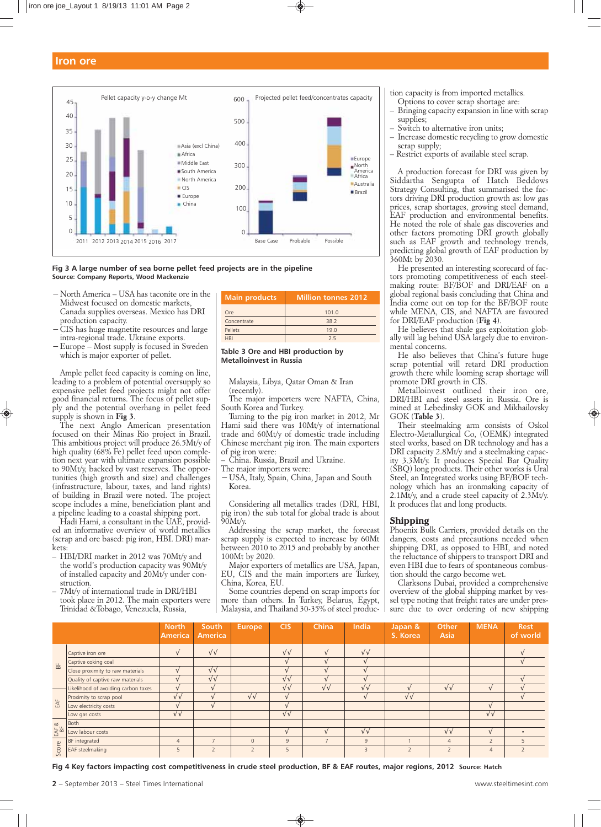

**Fig 3 A large number of sea borne pellet feed projects are in the pipeline Source: Company Reports, Wood Mackenzie**

- *−North America USA has taconite ore in the Midwest focused on domestic markets, Canada supplies overseas. Mexico has DRI production capacity.*
- *−CIS has huge magnetite resources and large intra-regional trade. Ukraine exports.*
- *−Europe Most supply is focused in Sweden which is major exporter of pellet.*

*Ample pellet feed capacity is coming on line, leading to a problem of potential oversupply so expensive pellet feed projects might not offer good financial returns. The focus of pellet supply and the potential overhang in pellet feed supply is shown in Fig 3.*

*The next Anglo American presentation focused on their Minas Rio project in Brazil. This ambitious project will produce 26.5Mt/y of high quality (68% Fe) pellet feed upon completion next year with ultimate expansion possible to 90Mt/y, backed by vast reserves. The opportunities (high growth and size) and challenges (infrastructure, labour, taxes, and land rights) of building in Brazil were noted. The project scope includes a mine, beneficiation plant and a pipeline leading to a coastal shipping port.* 

*Hadi Hami, a consultant in the UAE, provided an informative overview of world metallics (scrap and ore based: pig iron, HBI. DRI) markets:*

- *HBI/DRI market in 2012 was 70Mt/y and the world's production capacity was 90Mt/y of installed capacity and 20Mt/y under construction.*
- *7Mt/y of international trade in DRI/HBI took place in 2012. The main exporters were Trinidad &Tobago, Venezuela, Russia,*

| <b>Main products</b> | <b>Million tonnes 2012</b> |  |  |
|----------------------|----------------------------|--|--|
| Ore                  | 101.0                      |  |  |
| Concentrate          | 38.2                       |  |  |
| Pellets              | 19.0                       |  |  |
| <b>HRI</b>           | 75                         |  |  |

#### **Table 3 Ore and HBI production by Metalloinvest in Russia**

*Malaysia, Libya, Qatar Oman & Iran (recently).* 

*The major importers were NAFTA, China, South Korea and Turkey.*

*Turning to the pig iron market in 2012, Mr Hami said there was 10Mt/y of international trade and 60Mt/y of domestic trade including Chinese merchant pig iron. The main exporters of pig iron were:* 

*– China. Russia, Brazil and Ukraine.* 

*The major importers were:*

*−USA, Italy, Spain, China, Japan and South Korea.*

*Considering all metallics trades (DRI, HBI, pig iron) the sub total for global trade is about 90Mt/y.* 

*Addressing the scrap market, the forecast scrap supply is expected to increase by 60Mt between 2010 to 2015 and probably by another 100Mt by 2020.* 

*Major exporters of metallics are USA, Japan, EU, CIS and the main importers are Turkey, China, Korea, EU.*

*Some countries depend on scrap imports for more than others. In Turkey, Belarus, Egypt, Malaysia, and Thailand 30-35% of steel produc-* *tion capacity is from imported metallics.*

- *Options to cover scrap shortage are: – Bringing capacity expansion in line with scrap supplies;*
- *Switch to alternative iron units;*
- *Increase domestic recycling to grow domestic scrap supply;*
- *Restrict exports of available steel scrap.*

*A production forecast for DRI was given by Siddartha Sengupta of Hatch Beddows Strategy Consulting, that summarised the factors driving DRI production growth as: low gas prices, scrap shortages, growing steel demand, EAF production and environmental benefits. He noted the role of shale gas discoveries and other factors promoting DRI growth globally such as EAF growth and technology trends, predicting global growth of EAF production by 360Mt by 2030.* 

*He presented an interesting scorecard of factors promoting competitiveness of each steelmaking route: BF/BOF and DRI/EAF on a global regional basis concluding that China and India come out on top for the BF/BOF route while MENA, CIS, and NAFTA are favoured for DRI/EAF production (Fig 4).*

*He believes that shale gas exploitation globally will lag behind USA largely due to environmental concerns.* 

*He also believes that China's future huge scrap potential will retard DRI production growth there while looming scrap shortage will promote DRI growth in CIS.*

*Metalloinvest outlined their iron ore, DRI/HBI and steel assets in Russia. Ore is mined at Lebedinsky GOK and Mikhailovsky GOK (Table 3).*

*Their steelmaking arm consists of Oskol Electro-Metallurgical Co, (OEMK) integrated steel works, based on DR technology and has a DRI capacity 2.8Mt/y and a steelmaking capacity 3.3Mt/y. It produces Special Bar Quality (SBQ) long products. Their other works is Ural Steel, an Integrated works using BF/BOF technology which has an ironmaking capacity of 2.1Mt/y, and a crude steel capacity of 2.3Mt/y. It produces flat and long products.*

## **Shipping**

*Phoenix Bulk Carriers, provided details on the dangers, costs and precautions needed when shipping DRI, as opposed to HBI, and noted the reluctance of shippers to transport DRI and even HBI due to fears of spontaneous combustion should the cargo become wet.*

*Clarksons Dubai, provided a comprehensive overview of the global shipping market by vessel type noting that freight rates are under pressure due to over ordering of new shipping*

|                      |                                     | <b>North</b><br><b>America</b> | <b>South</b><br><b>America</b> | <b>Europe</b>     | <b>CIS</b>        | China             | <b>India</b>      | Japan &<br>S. Korea      | Other<br>Asia            | <b>MENA</b>       | <b>Rest</b><br>of world |
|----------------------|-------------------------------------|--------------------------------|--------------------------------|-------------------|-------------------|-------------------|-------------------|--------------------------|--------------------------|-------------------|-------------------------|
|                      | Captive iron ore                    |                                | $\sqrt{\sqrt{2}}$              |                   | $\sqrt{\sqrt{2}}$ |                   | $\sqrt{\sqrt{2}}$ |                          |                          |                   |                         |
| $\frac{\mu}{\Omega}$ | Captive coking coal                 |                                |                                |                   |                   |                   |                   |                          |                          |                   |                         |
|                      | Close proximity to raw materials    |                                | $\sqrt{\sqrt{2}}$              |                   |                   |                   |                   |                          |                          |                   |                         |
|                      | Quality of captive raw materials    |                                | $\sqrt{\sqrt{2}}$              |                   | $\sqrt{\sqrt{2}}$ |                   |                   |                          |                          |                   |                         |
|                      | Likelihood of avoiding carbon taxes |                                |                                |                   | $\sqrt{\sqrt{2}}$ | $\sqrt{\sqrt{2}}$ | $\sqrt{\sqrt{2}}$ |                          | $\sqrt{\sqrt{2}}$        |                   |                         |
|                      | Proximity to scrap pool             | $\sqrt{\sqrt{2}}$              |                                | $\sqrt{\sqrt{2}}$ |                   |                   |                   | $\sqrt{\sqrt{2}}$        |                          |                   |                         |
| EAF                  | Low electricity costs               |                                |                                |                   |                   |                   |                   |                          |                          |                   |                         |
|                      | Low gas costs                       | $\sqrt{\sqrt{}}$               |                                |                   | $\sqrt{\sqrt{2}}$ |                   |                   |                          |                          | $\sqrt{\sqrt{2}}$ |                         |
|                      | Both                                |                                |                                |                   |                   |                   |                   |                          |                          |                   |                         |
| $EAF$ &<br>BF        | Low labour costs                    |                                |                                |                   |                   |                   | $\sqrt{\sqrt{2}}$ |                          | $\sqrt{\sqrt{2}}$        |                   |                         |
|                      | BF integrated                       | $\overline{4}$                 | $\overline{ }$                 | $\mathbf{0}$      | 9                 | -                 | 9                 |                          | $\overline{4}$           | $\overline{2}$    |                         |
| Score                | EAF steelmaking                     | 5                              | $\overline{2}$                 | $\overline{2}$    | 5                 |                   | $\overline{3}$    | $\overline{\phantom{a}}$ | $\overline{\phantom{a}}$ | $\overline{4}$    |                         |

**Fig 4 Key factors impacting cost competitiveness in crude steel production, BF & EAF routes, major regions, 2012 Source: Hatch**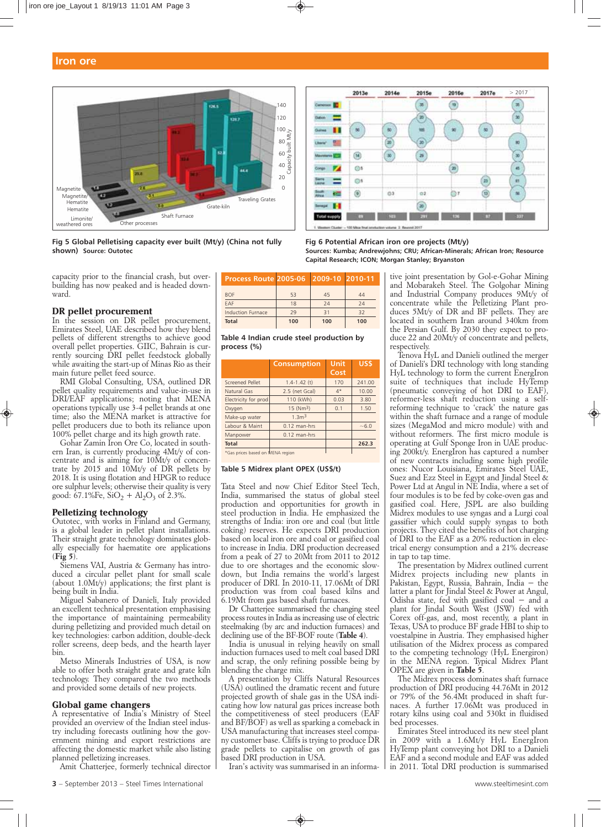

**Fig 5 Global Pelletising capacity ever built (Mt/y) (China not fully shown) Source: Outotec**

*capacity prior to the financial crash, but overbuilding has now peaked and is headed downward.*

## **DR pellet procurement**

*In the session on DR pellet procurement, Emirates Steel, UAE described how they blend pellets of different strengths to achieve good overall pellet properties. GIIC, Bahrain is currently sourcing DRI pellet feedstock globally while awaiting the start-up of Minas Rio as their main future pellet feed source.* 

*RMI Global Consulting, USA, outlined DR pellet quality requirements and value-in-use in DRI/EAF applications; noting that MENA operations typically use 3-4 pellet brands at one time; also the MENA market is attractive for pellet producers due to both its reliance upon 100% pellet charge and its high growth rate.*

*Gohar Zamin Iron Ore Co, located in southern Iran, is currently producing 4Mt/y of concentrate and is aiming for 10Mt/y of concentrate by 2015 and 10Mt/y of DR pellets by 2018. It is using flotation and HPGR to reduce ore sulphur levels; otherwise their quality is very* good:  $67.1\%$ Fe,  $SiO<sub>2</sub> + Al<sub>2</sub>O<sub>3</sub>$  of 2.3%.

#### **Pelletizing technology**

*Outotec, with works in Finland and Germany, is a global leader in pellet plant installations. Their straight grate technology dominates globally especially for haematite ore applications (Fig 5).* 

*Siemens VAI, Austria & Germany has introduced a circular pellet plant for small scale (about 1.0Mt/y) applications; the first plant is being built in India.*

*Miguel Sabanero of Danieli, Italy provided an excellent technical presentation emphasising the importance of maintaining permeability during pelletizing and provided much detail on key technologies: carbon addition, double-deck roller screens, deep beds, and the hearth layer bin.*

*Metso Minerals Industries of USA, is now able to offer both straight grate and grate kiln technology. They compared the two methods and provided some details of new projects.* 

## **Global game changers**

*A representative of India's Ministry of Steel provided an overview of the Indian steel industry including forecasts outlining how the government mining and export restrictions are affecting the domestic market while also listing planned pelletizing increases.* 

*Amit Chatterjee, formerly technical director*

| Process Route 2005-06 2009-10 2010-11 |     |     |     |
|---------------------------------------|-----|-----|-----|
| <b>BOF</b>                            | 53  | 45  | 44  |
| FAF                                   | 18  | 24  | 24  |
| <b>Induction Furnace</b>              | 79  | 31  | 32  |
| <b>Total</b>                          | 100 | 100 | 100 |

**Table 4 Indian crude steel production by process (%)**

|                                       | <b>Consumption</b>      | Unit<br>Cost | US\$   |
|---------------------------------------|-------------------------|--------------|--------|
| Screened Pellet                       | $1.4 - 1.42$ (t)        | 170          | 241.00 |
| Natural Gas                           | 2.5 (net Gcal)          | $4*$         | 10.00  |
| Electricity for prod                  | 110 (kWh)               | 0.03         | 3.80   |
| Oxygen                                | $15$ (Nm <sup>3</sup> ) | 0.1          | 1.50   |
| Make-up water                         | 1.3 <sup>m3</sup>       |              |        |
| Labour & Maint                        | $0.12$ man-hrs          |              | $-6.0$ |
| Manpower                              | $0.12$ man-hrs          |              |        |
| <b>Total</b>                          |                         |              | 262.3  |
| $$C$ as prices based on $MENA$ region |                         |              |        |

\*Gas prices based on MENA region

#### **Table 5 Midrex plant OPEX (US\$/t)**

*Tata Steel and now Chief Editor Steel Tech, India, summarised the status of global steel production and opportunities for growth in steel production in India. He emphasized the strengths of India: iron ore and coal (but little coking) reserves. He expects DRI production based on local iron ore and coal or gasified coal to increase in India. DRI production decreased from a peak of 27 to 20Mt from 2011 to 2012 due to ore shortages and the economic slowdown, but India remains the world's largest producer of DRI. In 2010-11, 17.06Mt of DRI production was from coal based kilns and 6.19Mt from gas based shaft furnaces.*

*Dr Chatterjee summarised the changing steel process routes in India as increasing use of electric steelmaking (by arc and induction furnaces) and declining use of the BF-BOF route (Table 4).*

*India is unusual in relying heavily on small induction furnaces used to melt coal based DRI and scrap, the only refining possible being by blending the charge mix.*

*A presentation by Cliffs Natural Resources (USA) outlined the dramatic recent and future projected growth of shale gas in the USA indicating how low natural gas prices increase both the competitiveness of steel producers (EAF and BF/BOF) as well as sparking a comeback in USA manufacturing that increases steel company customer base. Cliffs is trying to produce DR grade pellets to capitalise on growth of gas based DRI production in USA.*

*Iran's activity was summarised in an informa-*



#### **Fig 6 Potential African iron ore projects (Mt/y) Sources: Kumba; Andrewjohns; CRU; African-Minerals; African Iron; Resource Capital Research; ICON; Morgan Stanley; Bryanston**

*tive joint presentation by Gol-e-Gohar Mining and Mobarakeh Steel. The Golgohar Mining and Industrial Company produces 9Mt/y of concentrate while the Pelletizing Plant produces 5Mt/y of DR and BF pellets. They are located in southern Iran around 340km from the Persian Gulf. By 2030 they expect to produce 22 and 20Mt/y of concentrate and pellets, respectively.*

*Tenova HyL and Danieli outlined the merger of Danieli's DRI technology with long standing HyL technology to form the current EnergIron suite of techniques that include HyTemp (pneumatic conveying of hot DRI to EAF), reformer-less shaft reduction using a selfreforming technique to 'crack' the nature gas within the shaft furnace and a range of module sizes (MegaMod and micro module) with and without reformers. The first micro module is operating at Gulf Sponge Iron in UAE producing 200kt/y. EnergIron has captured a number of new contracts including some high profile ones: Nucor Louisiana, Emirates Steel UAE, Suez and Ezz Steel in Egypt and Jindal Steel & Power Ltd at Angul in NE India, where a set of four modules is to be fed by coke-oven gas and gasified coal. Here, JSPL are also building Midrex modules to use syngas and a Lurgi coal gassifier which could supply syngas to both projects. They cited the benefits of hot charging of DRI to the EAF as a 20% reduction in electrical energy consumption and a 21% decrease in tap to tap time.* 

*The presentation by Midrex outlined current Midrex projects including new plants in Pakistan, Egypt, Russia, Bahrain, India − the latter a plant for Jindal Steel & Power at Angul, Odisha state, fed with gasified coal − and a plant for Jindal South West (JSW) fed with Corex off-gas, and, most recently, a plant in Texas, USA to produce BF grade HBI to ship to voestalpine in Austria. They emphasised higher utilisation of the Midrex process as compared to the competing technology (HyL Energiron) in the MENA region. Typical Midrex Plant OPEX are given in Table 5.*

*The Midrex process dominates shaft furnace production of DRI producing 44.76Mt in 2012 or 79% of the 56.4Mt produced in shaft furnaces. A further 17.06Mt was produced in rotary kilns using coal and 530kt in fluidised bed processes.*

*Emirates Steel introduced its new steel plant in 2009 with a 1.6Mt/y HyL EnergIron HyTemp plant conveying hot DRI to a Danieli EAF and a second module and EAF was added in 2011. Total DRI production is summarised*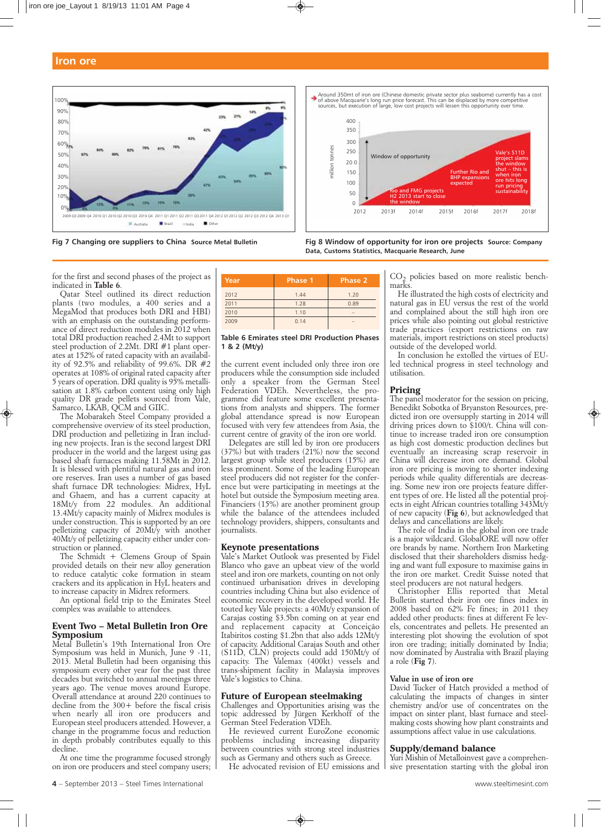



Around 350mt of iron ore (Chinese domestic private sector plus seaborne) currently has a cost<br>of above Macquarie's long run price forecast. This can be displaced by more competitive<br>sources, but execution of large, low cos



**Fig 7 Changing ore suppliers to China Source Metal Bulletin Fig 8 Window of opportunity for iron ore projects Source: Company Data, Customs Statistics, Macquarie Research, June** 

*for the first and second phases of the project as indicated in Table 6.*

*Qatar Steel outlined its direct reduction plants (two modules, a 400 series and a MegaMod that produces both DRI and HBI) with an emphasis on the outstanding performance of direct reduction modules in 2012 when total DRI production reached 2.4Mt to support steel production of 2.2Mt. DRI #1 plant operates at 152% of rated capacity with an availability of 92.5% and reliability of 99.6%. DR #2 operates at 108% of original rated capacity after 5 years of operation. DRI quality is 95% metallisation at 1.8% carbon content using only high quality DR grade pellets sourced from Vale, Samarco, LKAB, QCM and GIIC.*

*The Mobarakeh Steel Company provided a comprehensive overview of its steel production, DRI production and pelletizing in Iran including new projects. Iran is the second largest DRI producer in the world and the largest using gas based shaft furnaces making 11.58Mt in 2012. It is blessed with plentiful natural gas and iron ore reserves. Iran uses a number of gas based shaft furnace DR technologies: Midrex, HyL and Ghaem, and has a current capacity at 18Mt/y from 22 modules. An additional 13.4Mt/y capacity mainly of Midrex modules is under construction. This is supported by an ore pelletizing capacity of 20Mt/y with another 40Mt/y of pelletizing capacity either under construction or planned.*

*The Schmidt + Clemens Group of Spain provided details on their new alloy generation to reduce catalytic coke formation in steam crackers and its application in HyL heaters and to increase capacity in Midrex reformers.*

*An optional field trip to the Emirates Steel complex was available to attendees.*

## **Event Two – Metal Bulletin Iron Ore Symposium**

*Metal Bulletin's 19th International Iron Ore Symposium was held in Munich, June 9 -11, 2013. Metal Bulletin had been organising this symposium every other year for the past three decades but switched to annual meetings three years ago. The venue moves around Europe. Overall attendance at around 220 continues to decline from the 300+ before the fiscal crisis when nearly all iron ore producers and European steel producers attended. However, a change in the programme focus and reduction in depth probably contributes equally to this decline.*

*At one time the programme focused strongly on iron ore producers and steel company users;*

| Year | Phase 1 | Phase 2 |
|------|---------|---------|
| 2012 | 1.44    | 1.20    |
| 2011 | 1.28    | 0.89    |
| 2010 | 1.10    |         |
| 2009 | 0.14    |         |

#### **Table 6 Emirates steel DRI Production Phases 1 & 2 (Mt/y)**

*the current event included only three iron ore producers while the consumption side included only a speaker from the German Steel Federation VDEh. Nevertheless, the programme did feature some excellent presentations from analysts and shippers. The former global attendance spread is now European focused with very few attendees from Asia, the current centre of gravity of the iron ore world.*

*Delegates are still led by iron ore producers (37%) but with traders (21%) now the second largest group while steel producers (15%) are less prominent. Some of the leading European steel producers did not register for the conference but were participating in meetings at the hotel but outside the Symposium meeting area. Financiers (15%) are another prominent group while the balance of the attendees included technology providers, shippers, consultants and journalists.* 

## **Keynote presentations**

*Vale's Market Outlook was presented by Fidel Blanco who gave an upbeat view of the world steel and iron ore markets, counting on not only continued urbanisation drives in developing countries including China but also evidence of economic recovery in the developed world. He touted key Vale projects: a 40Mt/y expansion of Carajas costing \$3.5bn coming on at year end and replacement capacity at Conceição Itabiritos costing \$1.2bn that also adds 12Mt/y of capacity. Additional Carajas South and other (S11D, CLN) projects could add 150Mt/y of capacity. The Valemax (400kt) vessels and trans-shipment facility in Malaysia improves Vale's logistics to China.*

## **Future of European steelmaking**

*Challenges and Opportunities arising was the topic addressed by Jürgen Kerkhoff of the German Steel Federation VDEh.*

*He reviewed current EuroZone economic problems including increasing disparity between countries with strong steel industries such as Germany and others such as Greece.* 

*He advocated revision of EU emissions and*

*CO2 policies based on more realistic benchmarks.*

*He illustrated the high costs of electricity and natural gas in EU versus the rest of the world and complained about the still high iron ore prices while also pointing out global restrictive trade practices (export restrictions on raw materials, import restrictions on steel products) outside of the developed world.*

*In conclusion he extolled the virtues of EUled technical progress in steel technology and utilisation.* 

# **Pricing**

*The panel moderator for the session on pricing, Benedikt Sobotka of Bryanston Resources, predicted iron ore oversupply starting in 2014 will driving prices down to \$100/t. China will continue to increase traded iron ore consumption as high cost domestic production declines but eventually an increasing scrap reservoir in China will decrease iron ore demand. Global iron ore pricing is moving to shorter indexing periods while quality differentials are decreasing. Some new iron ore projects feature different types of ore. He listed all the potential projects in eight African countries totalling 343Mt/y of new capacity (Fig 6), but acknowledged that delays and cancellations are likely.* 

*The role of India in the global iron ore trade is a major wildcard. GlobalORE will now offer ore brands by name. Northern Iron Marketing disclosed that their shareholders dismiss hedging and want full exposure to maximise gains in the iron ore market. Credit Suisse noted that steel producers are not natural hedgers.* 

*Christopher Ellis reported that Metal Bulletin started their iron ore fines index in 2008 based on 62% Fe fines; in 2011 they added other products: fines at different Fe levels, concentrates and pellets. He presented an interesting plot showing the evolution of spot iron ore trading; initially dominated by India; now dominated by Australia with Brazil playing a role (Fig 7).*

## *Value in use of iron ore*

*David Tucker of Hatch provided a method of calculating the impacts of changes in sinter chemistry and/or use of concentrates on the impact on sinter plant, blast furnace and steelmaking costs showing how plant constraints and assumptions affect value in use calculations.* 

## **Supply/demand balance**

*Yuri Mishin of Metalloinvest gave a comprehensive presentation starting with the global iron*